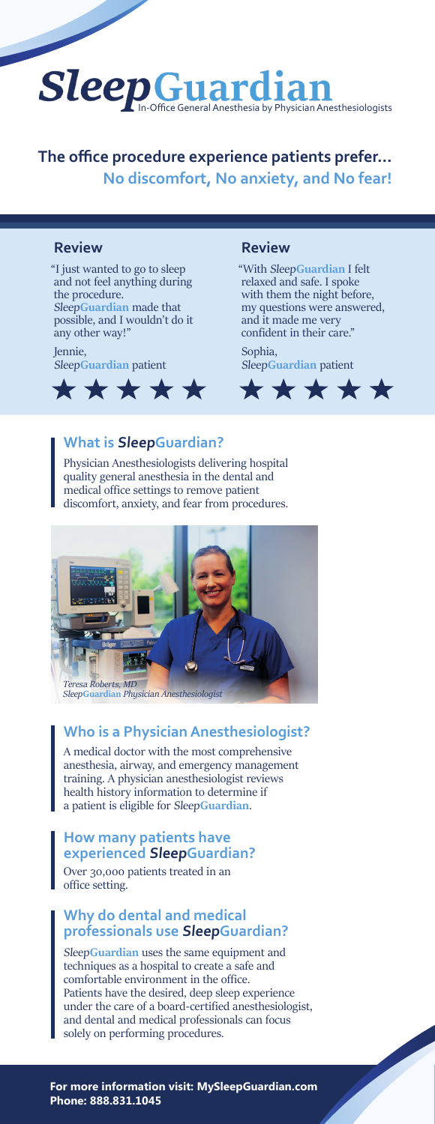

## **The office procedure experience patients prefer... No discomfort, No anxiety, and No fear!**

#### **Review Review**

"I just wanted to go to sleep and not feel anything during the procedure. Sleep**Guardian** made that possible, and I wouldn't do it any other way!"

Jennie, Sleep**Guardian** patient



"With Sleep**Guardian** I felt relaxed and safe. I spoke with them the night before, my questions were answered, and it made me very confident in their care."

Sophia, Sleep**Guardian** patient



#### **What is SleepGuardian?**

Physician Anesthesiologists delivering hospital quality general anesthesia in the dental and medical office settings to remove patient discomfort, anxiety, and fear from procedures.



#### **Who is a Physician Anesthesiologist?**

A medical doctor with the most comprehensive anesthesia, airway, and emergency management training. A physician anesthesiologist reviews health history information to determine if a patient is eligible for Sleep**Guardian**.

#### **How many patients have experienced SleepGuardian?**

Over 30,000 patients treated in an office setting.

#### **Why do dental and medical professionals use SleepGuardian?**

Sleep**Guardian** uses the same equipment and techniques as a hospital to create a safe and comfortable environment in the office. Patients have the desired, deep sleep experience under the care of a board-certified anesthesiologist, and dental and medical professionals can focus solely on performing procedures.